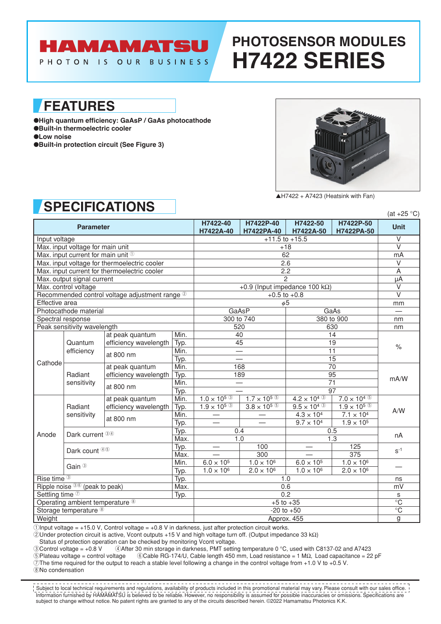## **HAMAMATSU**

PHOTON IS OUR BUSINESS

# **PHOTOSENSOR MODULES H7422 SERIES**

**FEATURES**

●**High quantum efficiency: GaAsP / GaAs photocathode** ●**Built-in thermoelectric cooler** ●**Low noise** ●**Built-in protection circuit (See Figure 3)**



 $AH7422 + A7423$  (Heatsink with Fan)

### **SPECIFICATIONS**

|                                        |                                         | UI LUII IUAI IUITU                             |                                        |                         |                         |                         |                         | $(at +25 °C)$            |  |
|----------------------------------------|-----------------------------------------|------------------------------------------------|----------------------------------------|-------------------------|-------------------------|-------------------------|-------------------------|--------------------------|--|
| <b>Parameter</b>                       |                                         |                                                | H7422-40<br>H7422A-40                  | H7422P-40<br>H7422PA-40 | H7422-50<br>H7422A-50   | H7422P-50<br>H7422PA-50 | <b>Unit</b>             |                          |  |
| Input voltage                          |                                         |                                                | $+11.5$ to $+15.5$                     |                         |                         | $\overline{\vee}$       |                         |                          |  |
|                                        | Max. input voltage for main unit        |                                                |                                        | $+18$                   |                         |                         | $\overline{\mathsf{v}}$ |                          |  |
|                                        | Max. input current for main unit $\Phi$ |                                                |                                        | 62                      |                         |                         |                         | mA                       |  |
|                                        |                                         | Max. input voltage for thermoelectric cooler   |                                        | 2.6                     |                         |                         |                         | $\vee$                   |  |
|                                        |                                         | Max. input current for thermoelectric cooler   |                                        | 2.2                     |                         |                         |                         | A                        |  |
|                                        | Max. output signal current              |                                                |                                        | $\overline{2}$          |                         |                         |                         | μA                       |  |
| Max. control voltage                   |                                         |                                                | +0.9 (Input impedance 100 k $\Omega$ ) |                         |                         |                         | $\vee$                  |                          |  |
|                                        |                                         | Recommended control voltage adjustment range 2 |                                        | $+0.5$ to $+0.8$        |                         |                         |                         | $\overline{\vee}$        |  |
| Effective area                         |                                         |                                                |                                        | $\phi$ 5                |                         |                         | mm                      |                          |  |
|                                        | Photocathode material                   |                                                |                                        | GaAsP                   |                         | GaAs                    |                         | $\overline{\phantom{0}}$ |  |
|                                        | Spectral response                       |                                                |                                        | 300 to 740              |                         | 380 to 900              |                         | nm                       |  |
|                                        | Peak sensitivity wavelength             |                                                |                                        |                         | 520                     | 630                     |                         | nm                       |  |
|                                        |                                         | at peak quantum                                | Min.                                   |                         | 40                      |                         | 14                      |                          |  |
|                                        | Quantum<br>efficiency                   | efficiency wavelength                          | Typ.                                   | 19<br>45                |                         |                         | $\%$                    |                          |  |
|                                        |                                         | at 800 nm                                      | Min.                                   |                         |                         | $\overline{11}$         |                         |                          |  |
| Cathode                                |                                         |                                                | Typ.                                   |                         |                         |                         | $\overline{15}$         |                          |  |
|                                        | Radiant<br>sensitivity                  | at peak quantum                                | Min.                                   | 168                     |                         | $\overline{70}$         |                         | mA/W                     |  |
|                                        |                                         | efficiency wavelength<br>at 800 nm             | Typ.                                   | 189                     |                         | 95<br>71                |                         |                          |  |
|                                        |                                         |                                                | Min.                                   |                         |                         | 97                      |                         |                          |  |
|                                        | Radiant<br>sensitivity                  |                                                | Typ.<br>Min.                           | $1.0 \times 10^{5}$ 3   | $1.7 \times 10^{5}$ (5) | $4.2 \times 10^{4}$ 3   | $7.0 \times 10^{4}$ (5) | A/W                      |  |
|                                        |                                         | at peak quantum                                |                                        | $1.9 \times 10^{5}$ 3   | $3.8 \times 10^{5}$ (5) | $9.5 \times 10^{4}$ 3   | $1.9 \times 10^{5}$ (5) |                          |  |
|                                        |                                         | efficiency wavelength<br>at 800 nm             | Typ.<br>Min.                           |                         |                         | $4.3 \times 10^{4}$     | $7.1 \times 10^{4}$     |                          |  |
|                                        |                                         |                                                | Typ.                                   |                         |                         | $9.7 \times 10^{4}$     | $1.9 \times 10^{5}$     |                          |  |
|                                        |                                         |                                                | Typ.                                   |                         | 0.4                     |                         |                         |                          |  |
| Anode                                  | Dark current 34                         |                                                | Max.                                   |                         | 1.0                     |                         | 0.5<br>1.3              |                          |  |
|                                        | Dark count 40                           |                                                | Typ.                                   |                         | 100                     |                         | 125                     | $S-1$                    |  |
|                                        |                                         |                                                | Max.                                   |                         | 300                     |                         | $\overline{375}$        |                          |  |
|                                        | Gain <sup>3</sup>                       |                                                | Min.                                   | $6.0 \times 10^{5}$     | $1.0 \times 10^{6}$     | $6.0 \times 10^{5}$     | $1.0 \times 10^{6}$     |                          |  |
|                                        |                                         |                                                | Typ.                                   | $1.0 \times 10^{6}$     | $2.0 \times 10^{6}$     | $1.0 \times 10^{6}$     | $2.0 \times 10^{6}$     |                          |  |
| Rise time <sup>3</sup>                 |                                         |                                                | Typ.                                   | 1.0                     |                         |                         | ns                      |                          |  |
| Ripple noise 36 (peak to peak)<br>Max. |                                         |                                                | 0.6                                    |                         |                         | mV                      |                         |                          |  |
| Settling time <sup>7</sup><br>Typ.     |                                         |                                                | 0.2                                    |                         |                         | S                       |                         |                          |  |
| Operating ambient temperature ®        |                                         |                                                | $+5$ to $+35$                          |                         |                         | $\overline{C}$          |                         |                          |  |
| Storage temperature <sup>8</sup>       |                                         |                                                | $-20$ to $+50$                         |                         |                         | $\overline{C}$          |                         |                          |  |
| Weight                                 |                                         |                                                | Approx. 455                            |                         |                         | $\overline{g}$          |                         |                          |  |

 $1$ Input voltage = +15.0 V, Control voltage = +0.8 V in darkness, just after protection circuit works.

2Under protection circuit is active, Vcont outputs +15 V and high voltage turn off. (Output impedance 33 kΩ)

Status of protection operation can be checked by monitoring Vcont voltage.

3Control voltage = +0.8 V 4After 30 min storage in darkness, PMT setting temperature 0 °C, used with C8137-02 and A7423 5Plateau voltage = control voltage 6Cable RG-174/U, Cable length 450 mm, Load resistance = 1 MΩ, Load capacitance = 22 pF

 $\overline{O}$ The time required for the output to reach a stable level following a change in the control voltage from +1.0 V to +0.5 V.

8No condensation

Information furnished by HAMAMATSU is believed to be reliable. However, no responsibility is assumed for possible inaccuracies or omissions. Specifications are subject to change without notice. No patent rights are granted to any of the circuits described herein. ©2022 Hamamatsu Photonics K.K. Subject to local technical requirements and regulations, availability of products included in this promotional material may vary. Please consult with our sales office.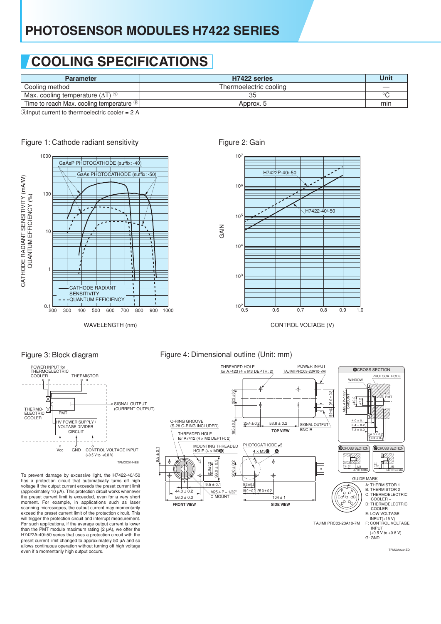## **COOLING SPECIFICATIONS**

| <b>Parameter</b>                                                             | H7422 series           | Unit    |
|------------------------------------------------------------------------------|------------------------|---------|
| Cooling method                                                               | Thermoelectric cooling |         |
| Max. cooling temperature $(\Delta T)^{(9)}$                                  |                        | $\circ$ |
| Time to reach Max. cooling temperature <sup>(9)</sup>                        | Approx, 5              | min     |
| $\bigcirc$ learned connected to the case of located consistence $\bigcirc$ A |                        |         |

 $(9)$ Input current to thermoelectric cooler = 2 A



### Figure 1: Cathode radiant sensitivity



WAVELENGTH (nm)

### Figure 2: Gain



CONTROL VOLTAGE (V)



To prevent damage by excessive light, the H7422-40/-50 has a protection circuit that automatically turns off high voltage if the output current exceeds the preset current limit (approximately 10 µA). This protection circuit works whenever the preset current limit is exceeded, even for a very short moment. For example, in applications such as laser scanning microscopes, the output current may momentarily exceed the preset current limit of the protection circuit. This will trigger the protection circuit and interrupt measurement. For such applications, if the average output current is lower than the PMT module maximum rating  $(2 \mu A)$ , we offer the H7422A-40/-50 series that uses a protection circuit with the preset current limit changed to approximately 50 µA and so allows continuous operation without turning off high voltage even if a momentarily high output occurs.

### Figure 3: Block diagram Figure 4: Dimensional outline (Unit: mm)

**GAIN** 



TPMOA0024ED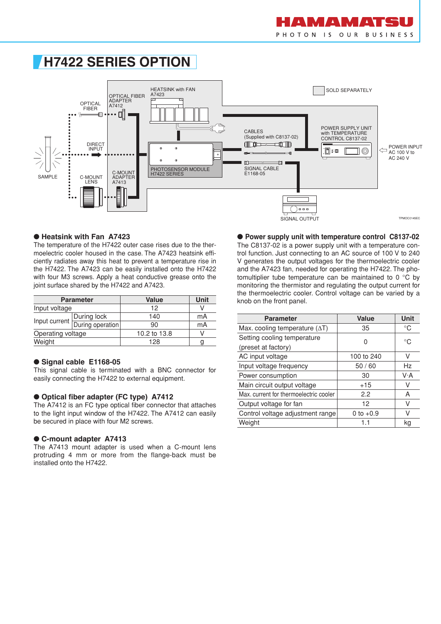### **H7422 SERIES OPTION**



#### ● **Heatsink with Fan A7423**

The temperature of the H7422 outer case rises due to the thermoelectric cooler housed in the case. The A7423 heatsink efficiently radiates away this heat to prevent a temperature rise in the H7422. The A7423 can be easily installed onto the H7422 with four M3 screws. Apply a heat conductive grease onto the joint surface shared by the H7422 and A7423.

|                   | <b>Parameter</b>               | <b>Value</b> | Unit |
|-------------------|--------------------------------|--------------|------|
| Input voltage     |                                | 12           |      |
|                   | During lock                    | 140          | mA   |
|                   | Input current During operation | 90           | mA   |
| Operating voltage |                                | 10.2 to 13.8 |      |
| Weight            |                                | 128          |      |

#### ● **Signal cable E1168-05**

This signal cable is terminated with a BNC connector for easily connecting the H7422 to external equipment.

#### ● **Optical fiber adapter (FC type) A7412**

The A7412 is an FC type optical fiber connector that attaches to the light input window of the H7422. The A7412 can easily be secured in place with four M2 screws.

#### ● C-mount adapter A7413

The A7413 mount adapter is used when a C-mount lens protruding 4 mm or more from the flange-back must be installed onto the H7422.

● **Power supply unit with temperature control C8137-02** The C8137-02 is a power supply unit with a temperature con-

trol function. Just connecting to an AC source of 100 V to 240 V generates the output voltages for the thermoelectric cooler and the A7423 fan, needed for operating the H7422. The photomultiplier tube temperature can be maintained to 0 °C by monitoring the thermistor and regulating the output current for the thermoelectric cooler. Control voltage can be varied by a knob on the front panel.

| <b>Parameter</b>                       | <b>Value</b>    | Unit        |
|----------------------------------------|-----------------|-------------|
| Max. cooling temperature $(\Delta T)$  | 35              | °C          |
| Setting cooling temperature            | U               | $^{\circ}C$ |
| (preset at factory)                    |                 |             |
| AC input voltage                       | 100 to 240      | V           |
| Input voltage frequency                | 50/60           | Hz          |
| Power consumption                      | 30              | V·A         |
| Main circuit output voltage            | $+15$           | V           |
| Max, current for thermoelectric cooler | 2.2             | A           |
| Output voltage for fan                 | 12 <sup>2</sup> | V           |
| Control voltage adjustment range       | 0 to $+0.9$     | V           |
| Weight                                 |                 | kg          |